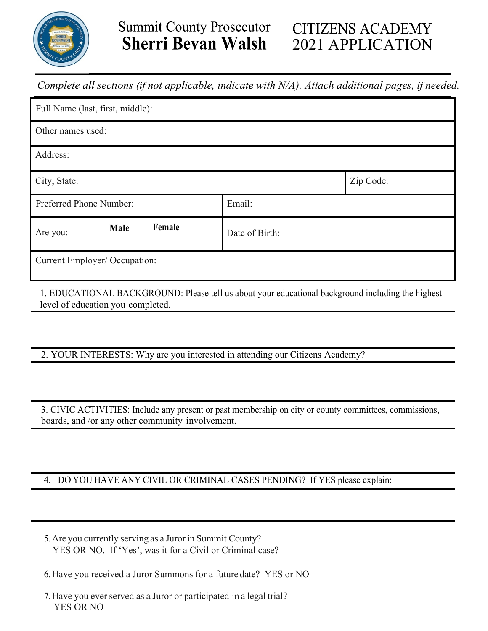

## **Summit County Prosecutor Sherri Bevan Walsh**

# **CITIZENS ACADEMY** 2021 APPLICATION

*Complete all sections (if not applicable, indicate with N/A). Attach additional pages, if needed.*

| Full Name (last, first, middle): |                |           |
|----------------------------------|----------------|-----------|
| Other names used:                |                |           |
| Address:                         |                |           |
| City, State:                     |                | Zip Code: |
| Preferred Phone Number:          | Email:         |           |
| Female<br>Male<br>Are you:       | Date of Birth: |           |
| Current Employer/ Occupation:    |                |           |

1. EDUCATIONAL BACKGROUND: Please tell us about your educational background including the highest level of education you completed.

2. YOUR INTERESTS: Why are you interested in attending our Citizens Academy?

3. CIVIC ACTIVITIES: Include any present or past membership on city or county committees, commissions, boards, and /or any other community involvement.

### 4. DO YOU HAVE ANY CIVIL OR CRIMINAL CASES PENDING? If YES please explain:

- 5.Are you currently serving as a Juror in Summit County? YES OR NO. If 'Yes', was it for a Civil or Criminal case?
- 6.Have you received a Juror Summons for a future date? YES or NO
- 7.Have you ever served as a Juror or participated in a legal trial? YES OR NO